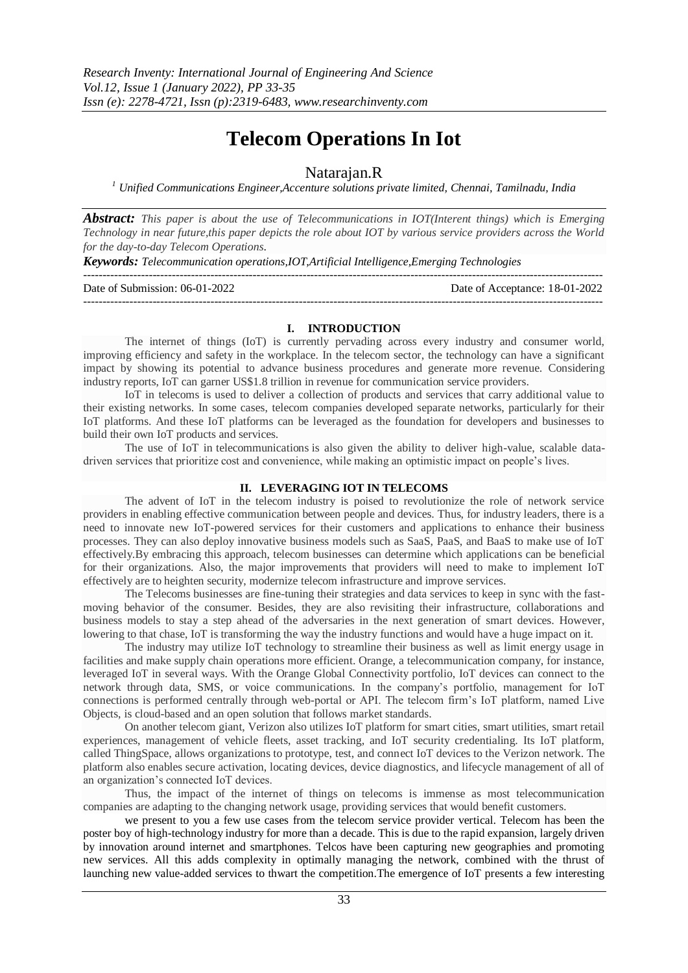# **Telecom Operations In Iot**

# Natarajan.R

*<sup>1</sup> Unified Communications Engineer,Accenture solutions private limited, Chennai, Tamilnadu, India*

*Abstract: This paper is about the use of Telecommunications in IOT(Interent things) which is Emerging Technology in near future,this paper depicts the role about IOT by various service providers across the World for the day-to-day Telecom Operations.*

*Keywords: Telecommunication operations,IOT,Artificial Intelligence,Emerging Technologies*

 $-1\leq i\leq n-1$ 

Date of Submission: 06-01-2022 Date of Acceptance: 18-01-2022

# **I. INTRODUCTION**

---------------------------------------------------------------------------------------------------------------------------------------

The internet of things (IoT) is currently pervading across every industry and consumer world, improving efficiency and safety in the workplace. In the telecom sector, the technology can have a significant impact by showing its potential to advance business procedures and generate more revenue. Considering industry reports, IoT can garner US\$1.8 trillion in revenue for communication service providers.

IoT in telecoms is used to deliver a collection of products and services that carry additional value to their existing networks. In some cases, telecom companies developed separate networks, particularly for their IoT platforms. And these IoT platforms can be leveraged as the foundation for developers and businesses to build their own IoT products and services.

The use of IoT in telecommunications is also given the ability to deliver high-value, scalable datadriven services that prioritize cost and convenience, while making an optimistic impact on people's lives.

# **II. LEVERAGING IOT IN TELECOMS**

The advent of IoT in the telecom industry is poised to revolutionize the role of network service providers in enabling effective communication between people and devices. Thus, for industry leaders, there is a need to innovate new IoT-powered services for their customers and applications to enhance their business processes. They can also deploy innovative business models such as SaaS, PaaS, and BaaS to make use of IoT effectively.By embracing this approach, telecom businesses can determine which applications can be beneficial for their organizations. Also, the major improvements that providers will need to make to implement IoT effectively are to heighten security, modernize telecom infrastructure and improve services.

The Telecoms businesses are fine-tuning their strategies and data services to keep in sync with the fastmoving behavior of the consumer. Besides, they are also revisiting their infrastructure, collaborations and business models to stay a step ahead of the adversaries in the next generation of smart devices. However, lowering to that chase, IoT is transforming the way the industry functions and would have a huge impact on it.

The industry may utilize IoT technology to streamline their business as well as limit energy usage in facilities and make supply chain operations more efficient. Orange, a telecommunication company, for instance, leveraged IoT in several ways. With the Orange Global Connectivity portfolio, IoT devices can connect to the network through data, SMS, or voice communications. In the company's portfolio, management for IoT connections is performed centrally through web-portal or API. The telecom firm's IoT platform, named Live Objects, is cloud-based and an open solution that follows market standards.

On another telecom giant, Verizon also utilizes IoT platform for smart cities, smart utilities, smart retail experiences, management of vehicle fleets, asset tracking, and IoT security credentialing. Its IoT platform, called ThingSpace, allows organizations to prototype, test, and connect IoT devices to the Verizon network. The platform also enables secure activation, locating devices, device diagnostics, and lifecycle management of all of an organization's connected IoT devices.

Thus, the impact of the internet of things on telecoms is immense as most telecommunication companies are adapting to the changing network usage, providing services that would benefit customers.

we present to you a few use cases from the telecom service provider vertical. Telecom has been the poster boy of high-technology industry for more than a decade. This is due to the rapid expansion, largely driven by innovation around internet and smartphones. Telcos have been capturing new geographies and promoting new services. All this adds complexity in optimally managing the network, combined with the thrust of launching new value-added services to thwart the competition.The emergence of IoT presents a few interesting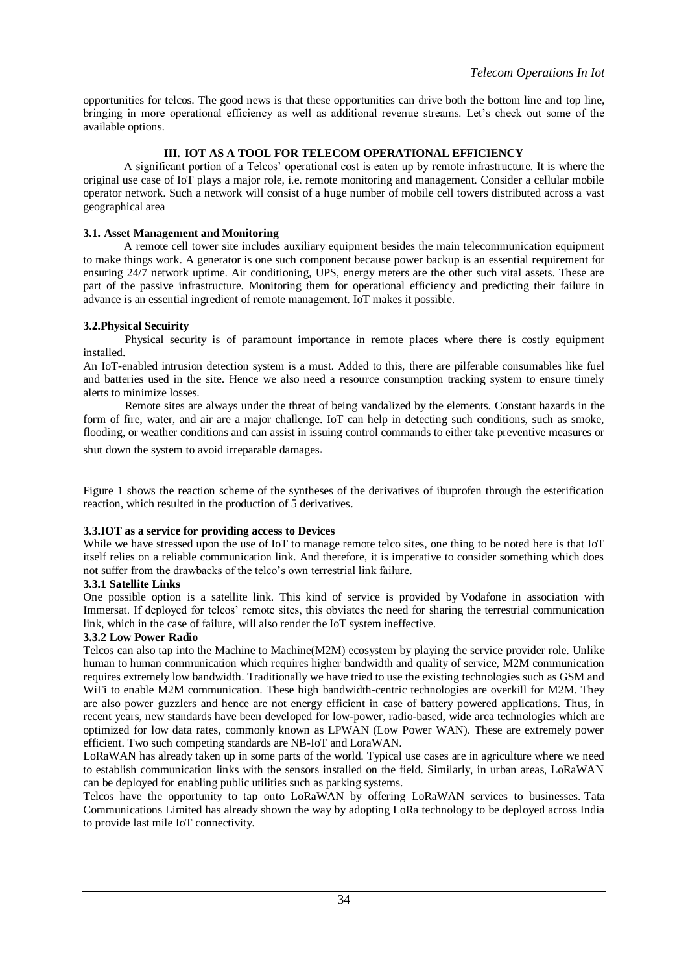opportunities for telcos. The good news is that these opportunities can drive both the bottom line and top line, bringing in more operational efficiency as well as additional revenue streams. Let's check out some of the available options.

# **III. IOT AS A TOOL FOR TELECOM OPERATIONAL EFFICIENCY**

A significant portion of a Telcos' operational cost is eaten up by remote infrastructure. It is where the original use case of IoT plays a major role, i.e. remote monitoring and management. Consider a cellular mobile operator network. Such a network will consist of a huge number of mobile cell towers distributed across a vast geographical area

### **3.1. Asset Management and Monitoring**

A remote cell tower site includes auxiliary equipment besides the main telecommunication equipment to make things work. A generator is one such component because power backup is an essential requirement for ensuring 24/7 network uptime. Air conditioning, UPS, energy meters are the other such vital assets. These are part of the passive infrastructure. Monitoring them for operational efficiency and predicting their failure in advance is an essential ingredient of remote management. IoT makes it possible.

# **3.2.Physical Secuirity**

Physical security is of paramount importance in remote places where there is costly equipment installed.

An IoT-enabled intrusion detection system is a must. Added to this, there are pilferable consumables like fuel and batteries used in the site. Hence we also need a resource consumption tracking system to ensure timely alerts to minimize losses.

Remote sites are always under the threat of being vandalized by the elements. Constant hazards in the form of fire, water, and air are a major challenge. IoT can help in detecting such conditions, such as smoke, flooding, or weather conditions and can assist in issuing control commands to either take preventive measures or

shut down the system to avoid irreparable damages.

Figure 1 shows the reaction scheme of the syntheses of the derivatives of ibuprofen through the esterification reaction, which resulted in the production of 5 derivatives.

### **3.3.IOT as a service for providing access to Devices**

While we have stressed upon the use of IoT to manage remote telco sites, one thing to be noted here is that IoT itself relies on a reliable communication link. And therefore, it is imperative to consider something which does not suffer from the drawbacks of the telco's own terrestrial link failure.

#### **3.3.1 Satellite Links**

One possible option is a satellite link. This kind of service is provided by Vodafone in association with Immersat. If deployed for telcos' remote sites, this obviates the need for sharing the terrestrial communication link, which in the case of failure, will also render the IoT system ineffective.

#### **3.3.2 Low Power Radio**

Telcos can also tap into the Machine to Machine(M2M) ecosystem by playing the service provider role. Unlike human to human communication which requires higher bandwidth and quality of service, M2M communication requires extremely low bandwidth. Traditionally we have tried to use the existing technologies such as GSM and WiFi to enable M2M communication. These high bandwidth-centric technologies are overkill for M2M. They are also power guzzlers and hence are not energy efficient in case of battery powered applications. Thus, in recent years, new standards have been developed for low-power, radio-based, wide area technologies which are optimized for low data rates, commonly known as LPWAN (Low Power WAN). These are extremely power efficient. Two such competing standards are NB-IoT and LoraWAN.

LoRaWAN has already taken up in some parts of the world. Typical use cases are in agriculture where we need to establish communication links with the sensors installed on the field. Similarly, in urban areas, LoRaWAN can be deployed for enabling public utilities such as parking systems.

Telcos have the opportunity to tap onto LoRaWAN by offering LoRaWAN services to businesses. Tata Communications Limited has already shown the way by adopting LoRa technology to be deployed across India to provide last mile IoT connectivity.